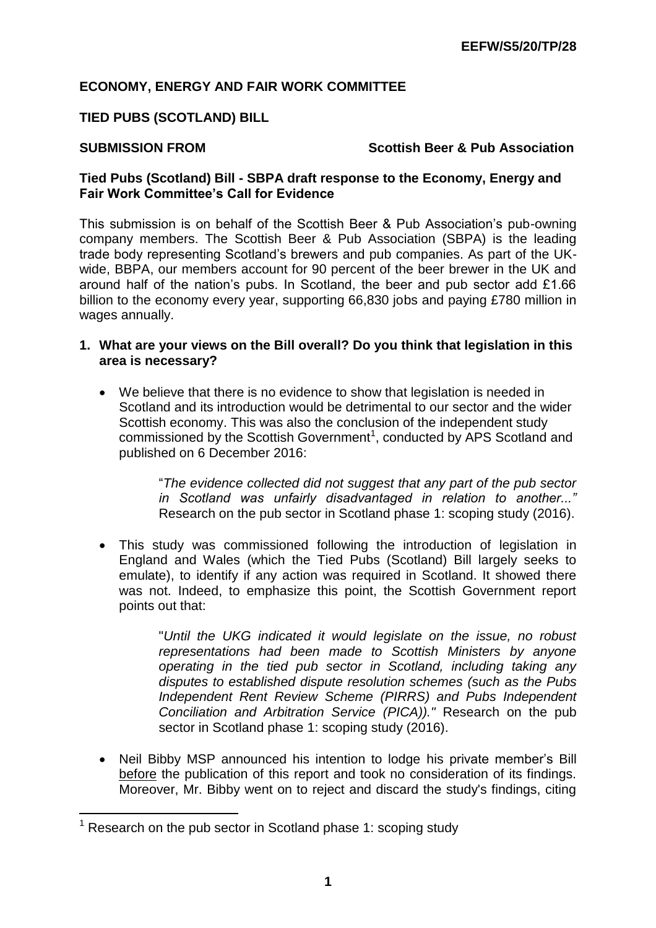# **ECONOMY, ENERGY AND FAIR WORK COMMITTEE**

# **TIED PUBS (SCOTLAND) BILL**

# **SUBMISSION FROM Scottish Beer & Pub Association**

# **Tied Pubs (Scotland) Bill - SBPA draft response to the Economy, Energy and Fair Work Committee's Call for Evidence**

This submission is on behalf of the Scottish Beer & Pub Association"s pub-owning company members. The Scottish Beer & Pub Association (SBPA) is the leading trade body representing Scotland"s brewers and pub companies. As part of the UKwide, BBPA, our members account for 90 percent of the beer brewer in the UK and around half of the nation's pubs. In Scotland, the beer and pub sector add £1.66 billion to the economy every year, supporting 66,830 jobs and paying £780 million in wages annually.

# <span id="page-0-0"></span>**1. What are your views on the Bill overall? Do you think that legislation in this area is necessary?**

 We believe that there is no evidence to show that legislation is needed in Scotland and its introduction would be detrimental to our sector and the wider Scottish economy. This was also the conclusion of the independent study commissioned by the Scottish Government<sup>1</sup>, conducted by APS Scotland and published on 6 December 2016:

> "*The evidence collected did not suggest that any part of the pub sector in Scotland was unfairly disadvantaged in relation to another..."*  Research on the pub sector in Scotland phase 1: scoping study (2016).

 This study was commissioned following the introduction of legislation in England and Wales (which the Tied Pubs (Scotland) Bill largely seeks to emulate), to identify if any action was required in Scotland. It showed there was not. Indeed, to emphasize this point, the Scottish Government report points out that:

> "*Until the UKG indicated it would legislate on the issue, no robust representations had been made to Scottish Ministers by anyone operating in the tied pub sector in Scotland, including taking any disputes to established dispute resolution schemes (such as the Pubs Independent Rent Review Scheme (PIRRS) and Pubs Independent Conciliation and Arbitration Service (PICA))."* Research on the pub sector in Scotland phase 1: scoping study (2016).

• Neil Bibby MSP announced his intention to lodge his private member's Bill before the publication of this report and took no consideration of its findings. Moreover, Mr. Bibby went on to reject and discard the study's findings, citing

 $\overline{\phantom{a}}$ 

 $1$  Research on the pub sector in Scotland phase 1: scoping study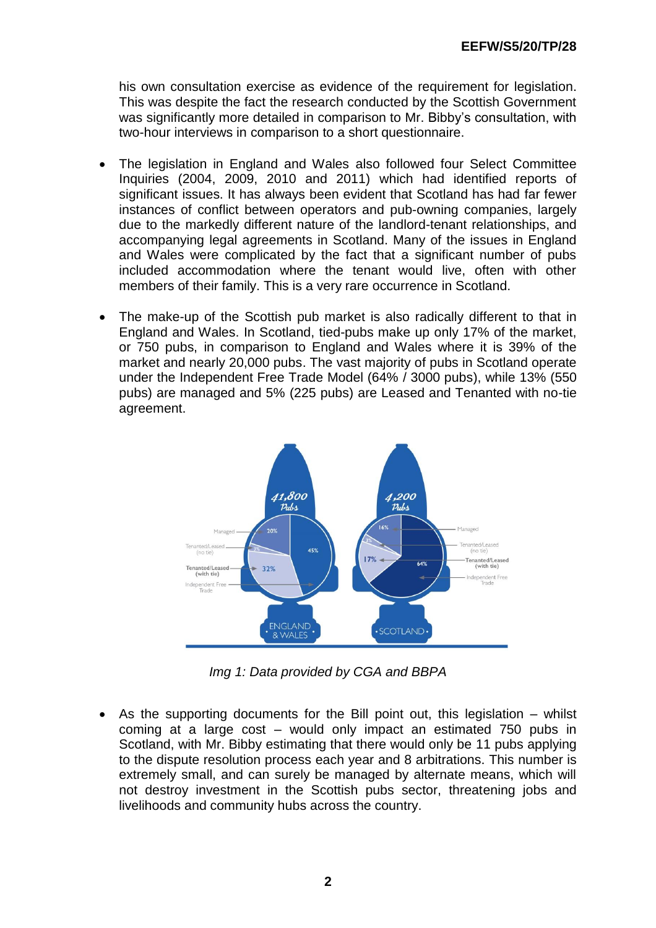his own consultation exercise as evidence of the requirement for legislation. This was despite the fact the research conducted by the Scottish Government was significantly more detailed in comparison to Mr. Bibby"s consultation, with two-hour interviews in comparison to a short questionnaire.

- The legislation in England and Wales also followed four Select Committee Inquiries (2004, 2009, 2010 and 2011) which had identified reports of significant issues. It has always been evident that Scotland has had far fewer instances of conflict between operators and pub-owning companies, largely due to the markedly different nature of the landlord-tenant relationships, and accompanying legal agreements in Scotland. Many of the issues in England and Wales were complicated by the fact that a significant number of pubs included accommodation where the tenant would live, often with other members of their family. This is a very rare occurrence in Scotland.
- The make-up of the Scottish pub market is also radically different to that in England and Wales. In Scotland, tied-pubs make up only 17% of the market, or 750 pubs, in comparison to England and Wales where it is 39% of the market and nearly 20,000 pubs. The vast majority of pubs in Scotland operate under the Independent Free Trade Model (64% / 3000 pubs), while 13% (550 pubs) are managed and 5% (225 pubs) are Leased and Tenanted with no-tie agreement.



*Img 1: Data provided by CGA and BBPA*

 As the supporting documents for the Bill point out, this legislation – whilst coming at a large cost – would only impact an estimated 750 pubs in Scotland, with Mr. Bibby estimating that there would only be 11 pubs applying to the dispute resolution process each year and 8 arbitrations. This number is extremely small, and can surely be managed by alternate means, which will not destroy investment in the Scottish pubs sector, threatening jobs and livelihoods and community hubs across the country.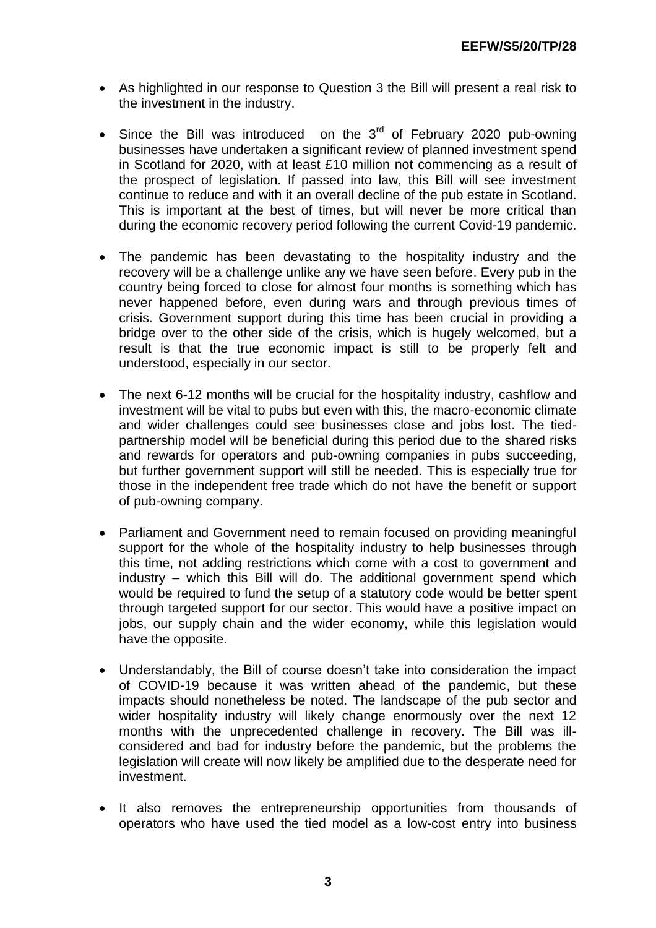- As highlighted in our response to Question [3](#page-6-0) the Bill will present a real risk to the investment in the industry.
- Since the Bill was introduced on the  $3<sup>rd</sup>$  of February 2020 pub-owning businesses have undertaken a significant review of planned investment spend in Scotland for 2020, with at least £10 million not commencing as a result of the prospect of legislation. If passed into law, this Bill will see investment continue to reduce and with it an overall decline of the pub estate in Scotland. This is important at the best of times, but will never be more critical than during the economic recovery period following the current Covid-19 pandemic.
- The pandemic has been devastating to the hospitality industry and the recovery will be a challenge unlike any we have seen before. Every pub in the country being forced to close for almost four months is something which has never happened before, even during wars and through previous times of crisis. Government support during this time has been crucial in providing a bridge over to the other side of the crisis, which is hugely welcomed, but a result is that the true economic impact is still to be properly felt and understood, especially in our sector.
- The next 6-12 months will be crucial for the hospitality industry, cashflow and investment will be vital to pubs but even with this, the macro-economic climate and wider challenges could see businesses close and jobs lost. The tiedpartnership model will be beneficial during this period due to the shared risks and rewards for operators and pub-owning companies in pubs succeeding, but further government support will still be needed. This is especially true for those in the independent free trade which do not have the benefit or support of pub-owning company.
- Parliament and Government need to remain focused on providing meaningful support for the whole of the hospitality industry to help businesses through this time, not adding restrictions which come with a cost to government and industry – which this Bill will do. The additional government spend which would be required to fund the setup of a statutory code would be better spent through targeted support for our sector. This would have a positive impact on jobs, our supply chain and the wider economy, while this legislation would have the opposite.
- Understandably, the Bill of course doesn"t take into consideration the impact of COVID-19 because it was written ahead of the pandemic, but these impacts should nonetheless be noted. The landscape of the pub sector and wider hospitality industry will likely change enormously over the next 12 months with the unprecedented challenge in recovery. The Bill was illconsidered and bad for industry before the pandemic, but the problems the legislation will create will now likely be amplified due to the desperate need for investment.
- It also removes the entrepreneurship opportunities from thousands of operators who have used the tied model as a low-cost entry into business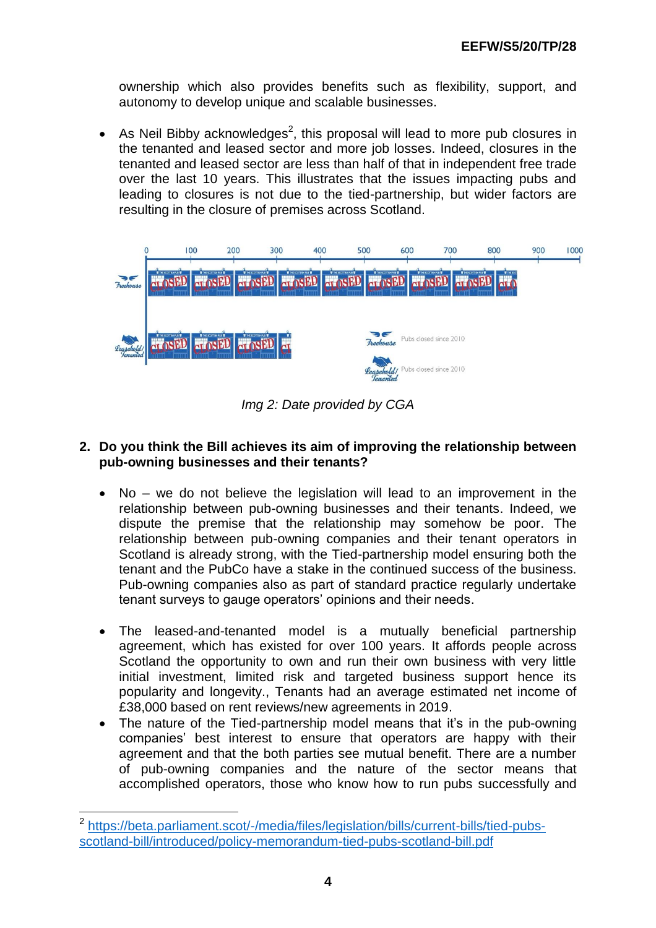ownership which also provides benefits such as flexibility, support, and autonomy to develop unique and scalable businesses.

• As Neil Bibby acknowledges<sup>2</sup>, this proposal will lead to more pub closures in the tenanted and leased sector and more job losses. Indeed, closures in the tenanted and leased sector are less than half of that in independent free trade over the last 10 years. This illustrates that the issues impacting pubs and leading to closures is not due to the tied-partnership, but wider factors are resulting in the closure of premises across Scotland.



*Img 2: Date provided by CGA*

# <span id="page-3-0"></span>**2. Do you think the Bill achieves its aim of improving the relationship between pub-owning businesses and their tenants?**

- No we do not believe the legislation will lead to an improvement in the relationship between pub-owning businesses and their tenants. Indeed, we dispute the premise that the relationship may somehow be poor. The relationship between pub-owning companies and their tenant operators in Scotland is already strong, with the Tied-partnership model ensuring both the tenant and the PubCo have a stake in the continued success of the business. Pub-owning companies also as part of standard practice regularly undertake tenant surveys to gauge operators' opinions and their needs.
- The leased-and-tenanted model is a mutually beneficial partnership agreement, which has existed for over 100 years. It affords people across Scotland the opportunity to own and run their own business with very little initial investment, limited risk and targeted business support hence its popularity and longevity., Tenants had an average estimated net income of £38,000 based on rent reviews/new agreements in 2019.
- The nature of the Tied-partnership model means that it's in the pub-owning companies" best interest to ensure that operators are happy with their agreement and that the both parties see mutual benefit. There are a number of pub-owning companies and the nature of the sector means that accomplished operators, those who know how to run pubs successfully and

 $\overline{\phantom{a}}$ 

<sup>&</sup>lt;sup>2</sup> [https://beta.parliament.scot/-/media/files/legislation/bills/current-bills/tied-pubs](https://beta.parliament.scot/-/media/files/legislation/bills/current-bills/tied-pubs-scotland-bill/introduced/policy-memorandum-tied-pubs-scotland-bill.pdf)[scotland-bill/introduced/policy-memorandum-tied-pubs-scotland-bill.pdf](https://beta.parliament.scot/-/media/files/legislation/bills/current-bills/tied-pubs-scotland-bill/introduced/policy-memorandum-tied-pubs-scotland-bill.pdf)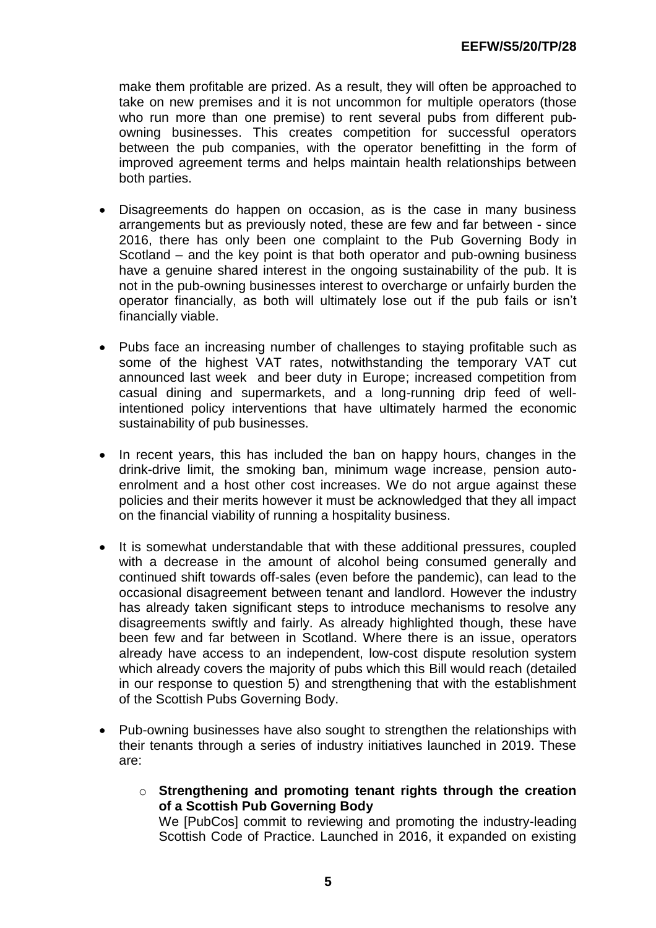make them profitable are prized. As a result, they will often be approached to take on new premises and it is not uncommon for multiple operators (those who run more than one premise) to rent several pubs from different pubowning businesses. This creates competition for successful operators between the pub companies, with the operator benefitting in the form of improved agreement terms and helps maintain health relationships between both parties.

- Disagreements do happen on occasion, as is the case in many business arrangements but as previously noted, these are few and far between - since 2016, there has only been one complaint to the Pub Governing Body in Scotland – and the key point is that both operator and pub-owning business have a genuine shared interest in the ongoing sustainability of the pub. It is not in the pub-owning businesses interest to overcharge or unfairly burden the operator financially, as both will ultimately lose out if the pub fails or isn"t financially viable.
- Pubs face an increasing number of challenges to staying profitable such as some of the highest VAT rates, notwithstanding the temporary VAT cut announced last week and beer duty in Europe; increased competition from casual dining and supermarkets, and a long-running drip feed of wellintentioned policy interventions that have ultimately harmed the economic sustainability of pub businesses.
- In recent years, this has included the ban on happy hours, changes in the drink-drive limit, the smoking ban, minimum wage increase, pension autoenrolment and a host other cost increases. We do not argue against these policies and their merits however it must be acknowledged that they all impact on the financial viability of running a hospitality business.
- It is somewhat understandable that with these additional pressures, coupled with a decrease in the amount of alcohol being consumed generally and continued shift towards off-sales (even before the pandemic), can lead to the occasional disagreement between tenant and landlord. However the industry has already taken significant steps to introduce mechanisms to resolve any disagreements swiftly and fairly. As already highlighted though, these have been few and far between in Scotland. Where there is an issue, operators already have access to an independent, low-cost dispute resolution system which already covers the majority of pubs which this Bill would reach (detailed in our response to question 5) and strengthening that with the establishment of the Scottish Pubs Governing Body.
- Pub-owning businesses have also sought to strengthen the relationships with their tenants through a series of industry initiatives launched in 2019. These are:
	- o **Strengthening and promoting tenant rights through the creation of a Scottish Pub Governing Body**

We [PubCos] commit to reviewing and promoting the industry-leading Scottish Code of Practice. Launched in 2016, it expanded on existing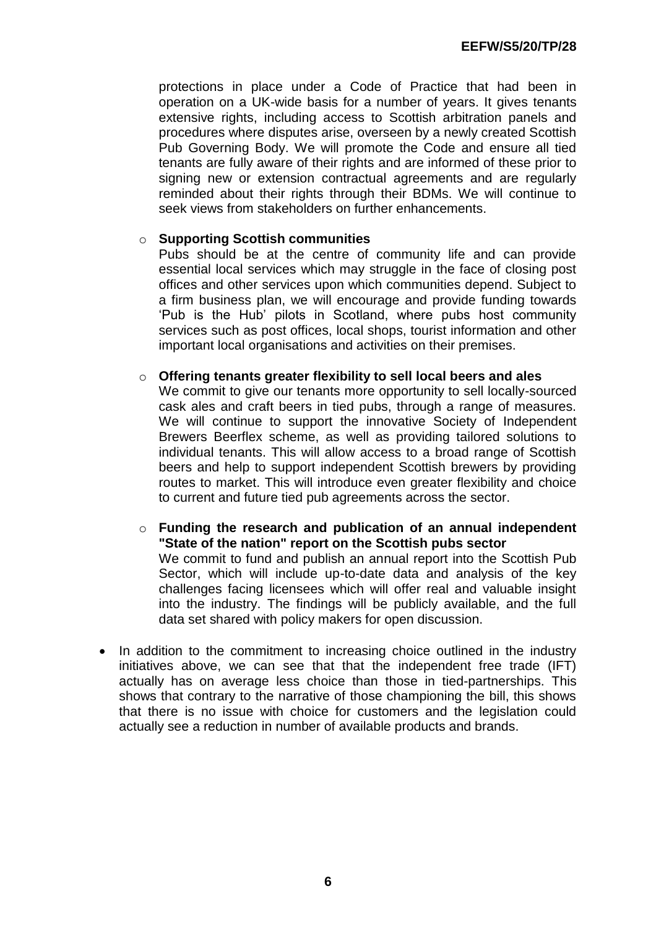protections in place under a Code of Practice that had been in operation on a UK-wide basis for a number of years. It gives tenants extensive rights, including access to Scottish arbitration panels and procedures where disputes arise, overseen by a newly created Scottish Pub Governing Body. We will promote the Code and ensure all tied tenants are fully aware of their rights and are informed of these prior to signing new or extension contractual agreements and are regularly reminded about their rights through their BDMs. We will continue to seek views from stakeholders on further enhancements.

## o **Supporting Scottish communities**

Pubs should be at the centre of community life and can provide essential local services which may struggle in the face of closing post offices and other services upon which communities depend. Subject to a firm business plan, we will encourage and provide funding towards "Pub is the Hub" pilots in Scotland, where pubs host community services such as post offices, local shops, tourist information and other important local organisations and activities on their premises.

### o **Offering tenants greater flexibility to sell local beers and ales**

We commit to give our tenants more opportunity to sell locally-sourced cask ales and craft beers in tied pubs, through a range of measures. We will continue to support the innovative Society of Independent Brewers Beerflex scheme, as well as providing tailored solutions to individual tenants. This will allow access to a broad range of Scottish beers and help to support independent Scottish brewers by providing routes to market. This will introduce even greater flexibility and choice to current and future tied pub agreements across the sector.

- o **Funding the research and publication of an annual independent "State of the nation" report on the Scottish pubs sector** We commit to fund and publish an annual report into the Scottish Pub Sector, which will include up-to-date data and analysis of the key challenges facing licensees which will offer real and valuable insight into the industry. The findings will be publicly available, and the full data set shared with policy makers for open discussion.
- In addition to the commitment to increasing choice outlined in the industry initiatives above, we can see that that the independent free trade (IFT) actually has on average less choice than those in tied-partnerships. This shows that contrary to the narrative of those championing the bill, this shows that there is no issue with choice for customers and the legislation could actually see a reduction in number of available products and brands.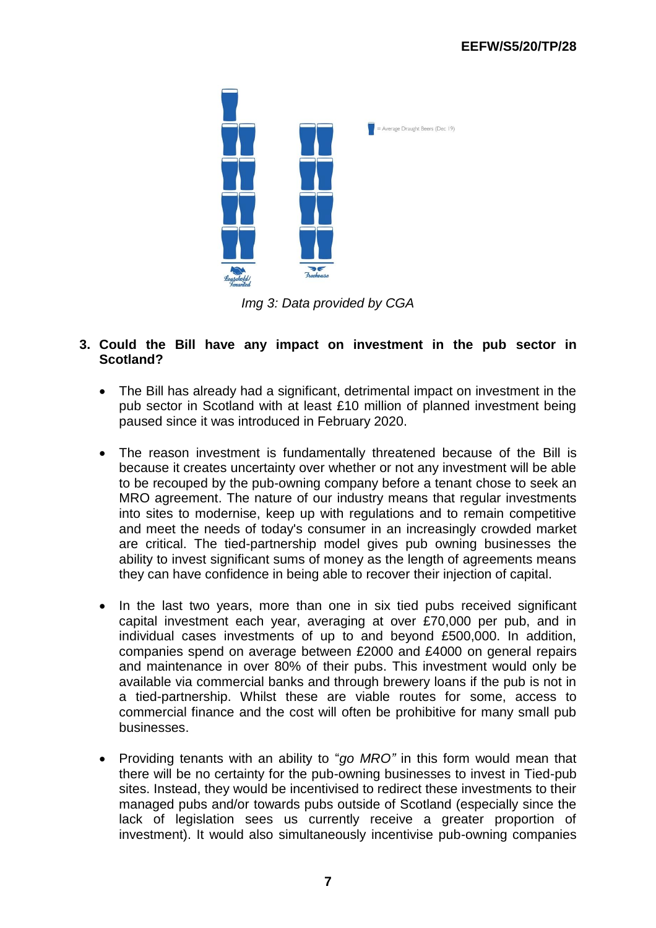

*Img 3: Data provided by CGA*

# <span id="page-6-0"></span>**3. Could the Bill have any impact on investment in the pub sector in Scotland?**

- The Bill has already had a significant, detrimental impact on investment in the pub sector in Scotland with at least £10 million of planned investment being paused since it was introduced in February 2020.
- The reason investment is fundamentally threatened because of the Bill is because it creates uncertainty over whether or not any investment will be able to be recouped by the pub-owning company before a tenant chose to seek an MRO agreement. The nature of our industry means that regular investments into sites to modernise, keep up with regulations and to remain competitive and meet the needs of today's consumer in an increasingly crowded market are critical. The tied-partnership model gives pub owning businesses the ability to invest significant sums of money as the length of agreements means they can have confidence in being able to recover their injection of capital.
- In the last two years, more than one in six tied pubs received significant capital investment each year, averaging at over £70,000 per pub, and in individual cases investments of up to and beyond £500,000. In addition, companies spend on average between £2000 and £4000 on general repairs and maintenance in over 80% of their pubs. This investment would only be available via commercial banks and through brewery loans if the pub is not in a tied-partnership. Whilst these are viable routes for some, access to commercial finance and the cost will often be prohibitive for many small pub businesses.
- Providing tenants with an ability to "*go MRO*" in this form would mean that there will be no certainty for the pub-owning businesses to invest in Tied-pub sites. Instead, they would be incentivised to redirect these investments to their managed pubs and/or towards pubs outside of Scotland (especially since the lack of legislation sees us currently receive a greater proportion of investment). It would also simultaneously incentivise pub-owning companies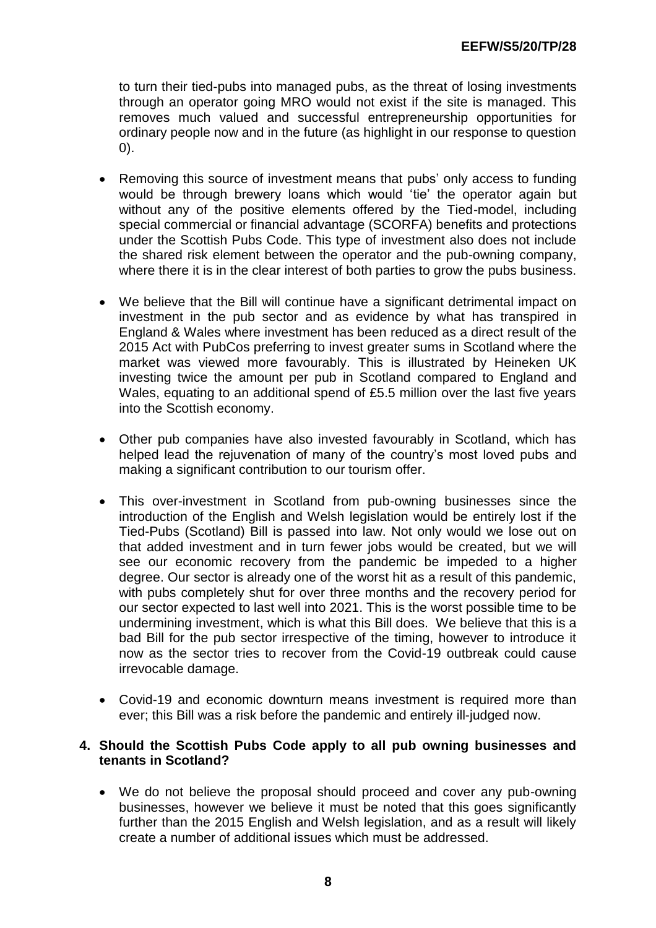to turn their tied-pubs into managed pubs, as the threat of losing investments through an operator going MRO would not exist if the site is managed. This removes much valued and successful entrepreneurship opportunities for ordinary people now and in the future (as highlight in our response to question [0\)](#page-11-0).

- Removing this source of investment means that pubs' only access to funding would be through brewery loans which would "tie" the operator again but without any of the positive elements offered by the Tied-model, including special commercial or financial advantage (SCORFA) benefits and protections under the Scottish Pubs Code. This type of investment also does not include the shared risk element between the operator and the pub-owning company, where there it is in the clear interest of both parties to grow the pubs business.
- We believe that the Bill will continue have a significant detrimental impact on investment in the pub sector and as evidence by what has transpired in England & Wales where investment has been reduced as a direct result of the 2015 Act with PubCos preferring to invest greater sums in Scotland where the market was viewed more favourably. This is illustrated by Heineken UK investing twice the amount per pub in Scotland compared to England and Wales, equating to an additional spend of £5.5 million over the last five years into the Scottish economy.
- Other pub companies have also invested favourably in Scotland, which has helped lead the rejuvenation of many of the country"s most loved pubs and making a significant contribution to our tourism offer.
- This over-investment in Scotland from pub-owning businesses since the introduction of the English and Welsh legislation would be entirely lost if the Tied-Pubs (Scotland) Bill is passed into law. Not only would we lose out on that added investment and in turn fewer jobs would be created, but we will see our economic recovery from the pandemic be impeded to a higher degree. Our sector is already one of the worst hit as a result of this pandemic, with pubs completely shut for over three months and the recovery period for our sector expected to last well into 2021. This is the worst possible time to be undermining investment, which is what this Bill does. We believe that this is a bad Bill for the pub sector irrespective of the timing, however to introduce it now as the sector tries to recover from the Covid-19 outbreak could cause irrevocable damage.
- Covid-19 and economic downturn means investment is required more than ever; this Bill was a risk before the pandemic and entirely ill-judged now.

## **4. Should the Scottish Pubs Code apply to all pub owning businesses and tenants in Scotland?**

 We do not believe the proposal should proceed and cover any pub-owning businesses, however we believe it must be noted that this goes significantly further than the 2015 English and Welsh legislation, and as a result will likely create a number of additional issues which must be addressed.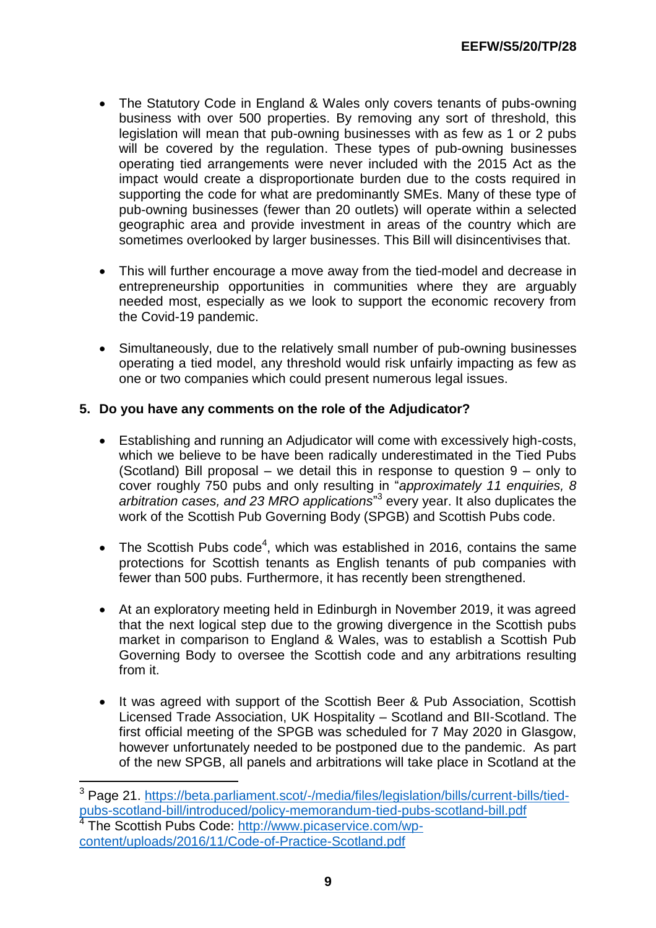- The Statutory Code in England & Wales only covers tenants of pubs-owning business with over 500 properties. By removing any sort of threshold, this legislation will mean that pub-owning businesses with as few as 1 or 2 pubs will be covered by the regulation. These types of pub-owning businesses operating tied arrangements were never included with the 2015 Act as the impact would create a disproportionate burden due to the costs required in supporting the code for what are predominantly SMEs. Many of these type of pub-owning businesses (fewer than 20 outlets) will operate within a selected geographic area and provide investment in areas of the country which are sometimes overlooked by larger businesses. This Bill will disincentivises that.
- This will further encourage a move away from the tied-model and decrease in entrepreneurship opportunities in communities where they are arguably needed most, especially as we look to support the economic recovery from the Covid-19 pandemic.
- Simultaneously, due to the relatively small number of pub-owning businesses operating a tied model, any threshold would risk unfairly impacting as few as one or two companies which could present numerous legal issues.

# **5. Do you have any comments on the role of the Adjudicator?**

- Establishing and running an Adjudicator will come with excessively high-costs, which we believe to be have been radically underestimated in the Tied Pubs (Scotland) Bill proposal – we detail this in response to question 9 – only to cover roughly 750 pubs and only resulting in "*approximately 11 enquiries, 8*  arbitration cases, and 23 MRO applications<sup>"3</sup> every year. It also duplicates the work of the Scottish Pub Governing Body (SPGB) and Scottish Pubs code.
- The Scottish Pubs code<sup>4</sup>, which was established in 2016, contains the same protections for Scottish tenants as English tenants of pub companies with fewer than 500 pubs. Furthermore, it has recently been strengthened.
- At an exploratory meeting held in Edinburgh in November 2019, it was agreed that the next logical step due to the growing divergence in the Scottish pubs market in comparison to England & Wales, was to establish a Scottish Pub Governing Body to oversee the Scottish code and any arbitrations resulting from it.
- It was agreed with support of the Scottish Beer & Pub Association, Scottish Licensed Trade Association, UK Hospitality – Scotland and BII-Scotland. The first official meeting of the SPGB was scheduled for 7 May 2020 in Glasgow, however unfortunately needed to be postponed due to the pandemic. As part of the new SPGB, all panels and arbitrations will take place in Scotland at the

 $\overline{a}$ 

<sup>&</sup>lt;sup>3</sup> Page 21. [https://beta.parliament.scot/-/media/files/legislation/bills/current-bills/tied](https://beta.parliament.scot/-/media/files/legislation/bills/current-bills/tied-pubs-scotland-bill/introduced/policy-memorandum-tied-pubs-scotland-bill.pdf)[pubs-scotland-bill/introduced/policy-memorandum-tied-pubs-scotland-bill.pdf](https://beta.parliament.scot/-/media/files/legislation/bills/current-bills/tied-pubs-scotland-bill/introduced/policy-memorandum-tied-pubs-scotland-bill.pdf) 4 The Scottish Pubs Code: [http://www.picaservice.com/wp](http://www.picaservice.com/wp-content/uploads/2016/11/Code-of-Practice-Scotland.pdf)[content/uploads/2016/11/Code-of-Practice-Scotland.pdf](http://www.picaservice.com/wp-content/uploads/2016/11/Code-of-Practice-Scotland.pdf)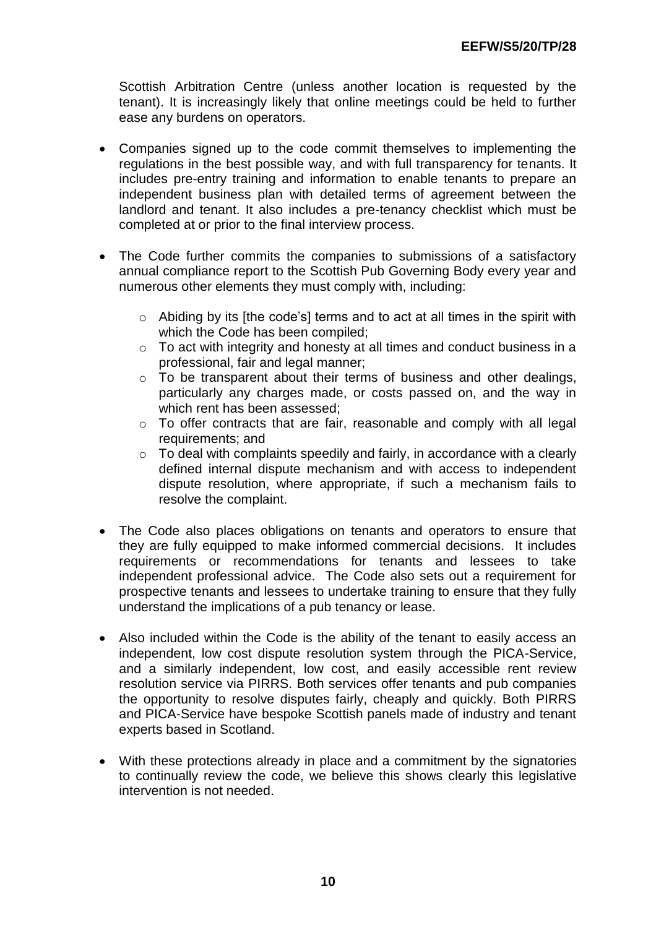Scottish Arbitration Centre (unless another location is requested by the tenant). It is increasingly likely that online meetings could be held to further ease any burdens on operators.

- Companies signed up to the code commit themselves to implementing the regulations in the best possible way, and with full transparency for tenants. It includes pre-entry training and information to enable tenants to prepare an independent business plan with detailed terms of agreement between the landlord and tenant. It also includes a pre-tenancy checklist which must be completed at or prior to the final interview process.
- The Code further commits the companies to submissions of a satisfactory annual compliance report to the Scottish Pub Governing Body every year and numerous other elements they must comply with, including:
	- $\circ$  Abiding by its [the code's] terms and to act at all times in the spirit with which the Code has been compiled;
	- $\circ$  To act with integrity and honesty at all times and conduct business in a professional, fair and legal manner;
	- $\circ$  To be transparent about their terms of business and other dealings, particularly any charges made, or costs passed on, and the way in which rent has been assessed;
	- $\circ$  To offer contracts that are fair, reasonable and comply with all legal requirements; and
	- $\circ$  To deal with complaints speedily and fairly, in accordance with a clearly defined internal dispute mechanism and with access to independent dispute resolution, where appropriate, if such a mechanism fails to resolve the complaint.
- The Code also places obligations on tenants and operators to ensure that they are fully equipped to make informed commercial decisions. It includes requirements or recommendations for tenants and lessees to take independent professional advice. The Code also sets out a requirement for prospective tenants and lessees to undertake training to ensure that they fully understand the implications of a pub tenancy or lease.
- Also included within the Code is the ability of the tenant to easily access an independent, low cost dispute resolution system through the PICA-Service, and a similarly independent, low cost, and easily accessible rent review resolution service via PIRRS. Both services offer tenants and pub companies the opportunity to resolve disputes fairly, cheaply and quickly. Both PIRRS and PICA-Service have bespoke Scottish panels made of industry and tenant experts based in Scotland.
- With these protections already in place and a commitment by the signatories to continually review the code, we believe this shows clearly this legislative intervention is not needed.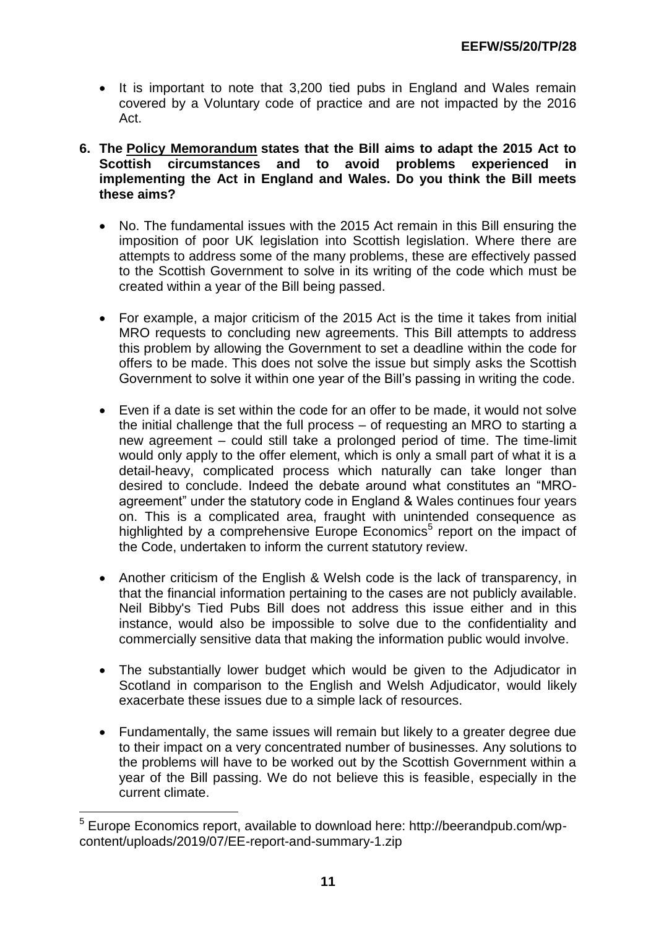- It is important to note that 3,200 tied pubs in England and Wales remain covered by a Voluntary code of practice and are not impacted by the 2016 Act.
- **6. The [Policy Memorandum](https://www.parliament.scot/S5_Bills/Tied%20Pubs%20(Scotland)%20Bill/SPBill62PMS052019.pdf) states that the Bill aims to adapt the 2015 Act to Scottish circumstances and to avoid problems experienced in implementing the Act in England and Wales. Do you think the Bill meets these aims?**
	- No. The fundamental issues with the 2015 Act remain in this Bill ensuring the imposition of poor UK legislation into Scottish legislation. Where there are attempts to address some of the many problems, these are effectively passed to the Scottish Government to solve in its writing of the code which must be created within a year of the Bill being passed.
	- For example, a major criticism of the 2015 Act is the time it takes from initial MRO requests to concluding new agreements. This Bill attempts to address this problem by allowing the Government to set a deadline within the code for offers to be made. This does not solve the issue but simply asks the Scottish Government to solve it within one year of the Bill"s passing in writing the code.
	- Even if a date is set within the code for an offer to be made, it would not solve the initial challenge that the full process – of requesting an MRO to starting a new agreement – could still take a prolonged period of time. The time-limit would only apply to the offer element, which is only a small part of what it is a detail-heavy, complicated process which naturally can take longer than desired to conclude. Indeed the debate around what constitutes an "MROagreement" under the statutory code in England & Wales continues four years on. This is a complicated area, fraught with unintended consequence as highlighted by a comprehensive Europe Economics<sup>5</sup> report on the impact of the Code, undertaken to inform the current statutory review.
	- Another criticism of the English & Welsh code is the lack of transparency, in that the financial information pertaining to the cases are not publicly available. Neil Bibby's Tied Pubs Bill does not address this issue either and in this instance, would also be impossible to solve due to the confidentiality and commercially sensitive data that making the information public would involve.
	- The substantially lower budget which would be given to the Adjudicator in Scotland in comparison to the English and Welsh Adjudicator, would likely exacerbate these issues due to a simple lack of resources.
	- Fundamentally, the same issues will remain but likely to a greater degree due to their impact on a very concentrated number of businesses. Any solutions to the problems will have to be worked out by the Scottish Government within a year of the Bill passing. We do not believe this is feasible, especially in the current climate.

 $\overline{a}$ 

<sup>5</sup> Europe Economics report, available to download here: http://beerandpub.com/wpcontent/uploads/2019/07/EE-report-and-summary-1.zip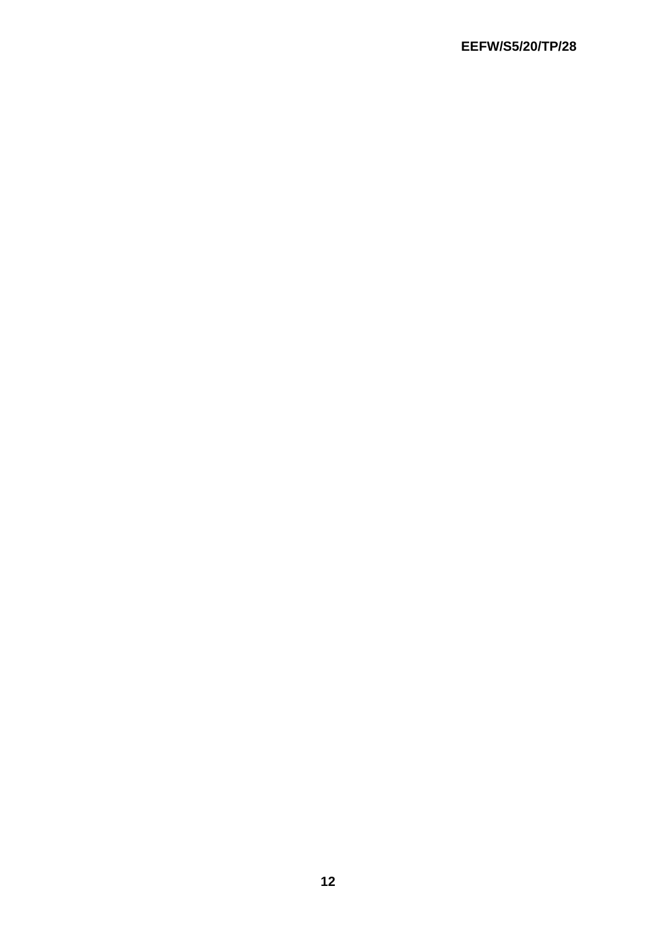# <span id="page-11-0"></span>**EEFW/S5/20/TP/28**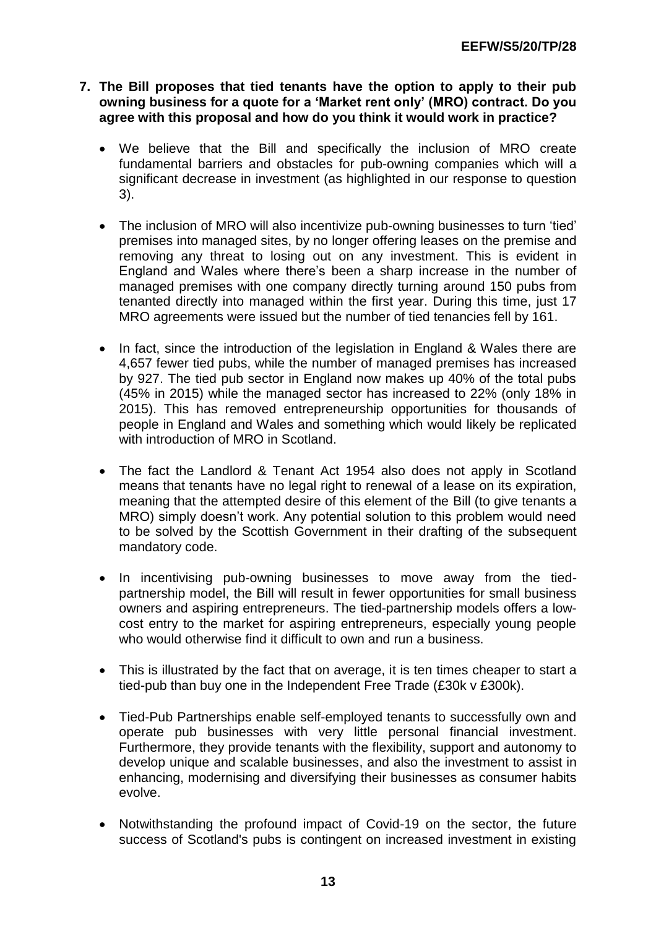# **7. The Bill proposes that tied tenants have the option to apply to their pub owning business for a quote for a 'Market rent only' (MRO) contract. Do you agree with this proposal and how do you think it would work in practice?**

- We believe that the Bill and specifically the inclusion of MRO create fundamental barriers and obstacles for pub-owning companies which will a significant decrease in investment (as highlighted in our response to question 3).
- The inclusion of MRO will also incentivize pub-owning businesses to turn 'tied' premises into managed sites, by no longer offering leases on the premise and removing any threat to losing out on any investment. This is evident in England and Wales where there"s been a sharp increase in the number of managed premises with one company directly turning around 150 pubs from tenanted directly into managed within the first year. During this time, just 17 MRO agreements were issued but the number of tied tenancies fell by 161.
- In fact, since the introduction of the legislation in England & Wales there are 4,657 fewer tied pubs, while the number of managed premises has increased by 927. The tied pub sector in England now makes up 40% of the total pubs (45% in 2015) while the managed sector has increased to 22% (only 18% in 2015). This has removed entrepreneurship opportunities for thousands of people in England and Wales and something which would likely be replicated with introduction of MRO in Scotland.
- The fact the Landlord & Tenant Act 1954 also does not apply in Scotland means that tenants have no legal right to renewal of a lease on its expiration, meaning that the attempted desire of this element of the Bill (to give tenants a MRO) simply doesn"t work. Any potential solution to this problem would need to be solved by the Scottish Government in their drafting of the subsequent mandatory code.
- In incentivising pub-owning businesses to move away from the tiedpartnership model, the Bill will result in fewer opportunities for small business owners and aspiring entrepreneurs. The tied-partnership models offers a lowcost entry to the market for aspiring entrepreneurs, especially young people who would otherwise find it difficult to own and run a business.
- This is illustrated by the fact that on average, it is ten times cheaper to start a tied-pub than buy one in the Independent Free Trade (£30k v £300k).
- Tied-Pub Partnerships enable self-employed tenants to successfully own and operate pub businesses with very little personal financial investment. Furthermore, they provide tenants with the flexibility, support and autonomy to develop unique and scalable businesses, and also the investment to assist in enhancing, modernising and diversifying their businesses as consumer habits evolve.
- Notwithstanding the profound impact of Covid-19 on the sector, the future success of Scotland's pubs is contingent on increased investment in existing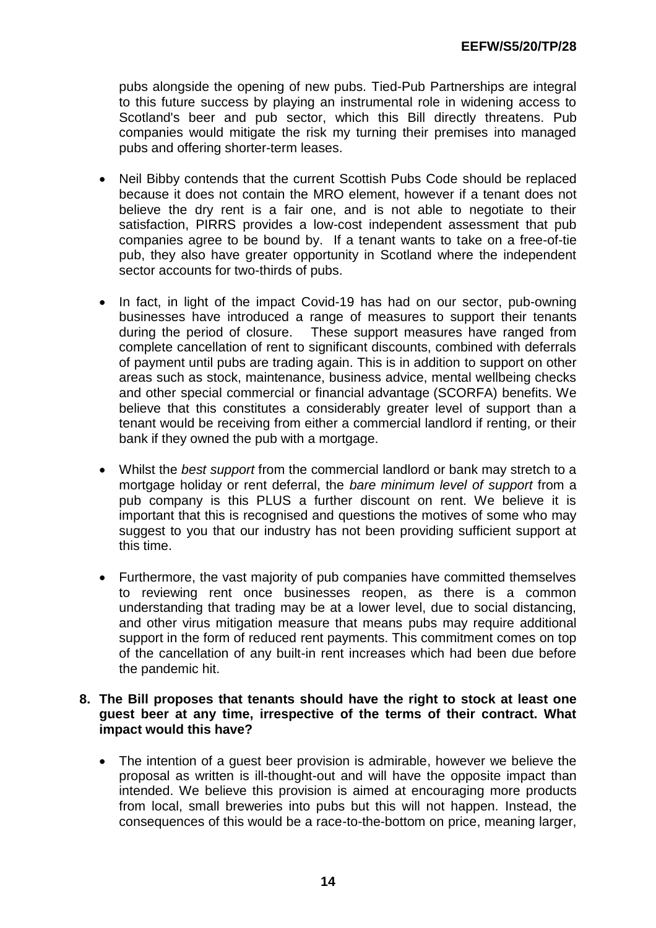pubs alongside the opening of new pubs. Tied-Pub Partnerships are integral to this future success by playing an instrumental role in widening access to Scotland's beer and pub sector, which this Bill directly threatens. Pub companies would mitigate the risk my turning their premises into managed pubs and offering shorter-term leases.

- Neil Bibby contends that the current Scottish Pubs Code should be replaced because it does not contain the MRO element, however if a tenant does not believe the dry rent is a fair one, and is not able to negotiate to their satisfaction, PIRRS provides a low-cost independent assessment that pub companies agree to be bound by. If a tenant wants to take on a free-of-tie pub, they also have greater opportunity in Scotland where the independent sector accounts for two-thirds of pubs.
- In fact, in light of the impact Covid-19 has had on our sector, pub-owning businesses have introduced a range of measures to support their tenants during the period of closure. These support measures have ranged from complete cancellation of rent to significant discounts, combined with deferrals of payment until pubs are trading again. This is in addition to support on other areas such as stock, maintenance, business advice, mental wellbeing checks and other special commercial or financial advantage (SCORFA) benefits. We believe that this constitutes a considerably greater level of support than a tenant would be receiving from either a commercial landlord if renting, or their bank if they owned the pub with a mortgage.
- Whilst the *best support* from the commercial landlord or bank may stretch to a mortgage holiday or rent deferral, the *bare minimum level of support* from a pub company is this PLUS a further discount on rent. We believe it is important that this is recognised and questions the motives of some who may suggest to you that our industry has not been providing sufficient support at this time.
- Furthermore, the vast majority of pub companies have committed themselves to reviewing rent once businesses reopen, as there is a common understanding that trading may be at a lower level, due to social distancing, and other virus mitigation measure that means pubs may require additional support in the form of reduced rent payments. This commitment comes on top of the cancellation of any built-in rent increases which had been due before the pandemic hit.

## **8. The Bill proposes that tenants should have the right to stock at least one guest beer at any time, irrespective of the terms of their contract. What impact would this have?**

• The intention of a guest beer provision is admirable, however we believe the proposal as written is ill-thought-out and will have the opposite impact than intended. We believe this provision is aimed at encouraging more products from local, small breweries into pubs but this will not happen. Instead, the consequences of this would be a race-to-the-bottom on price, meaning larger,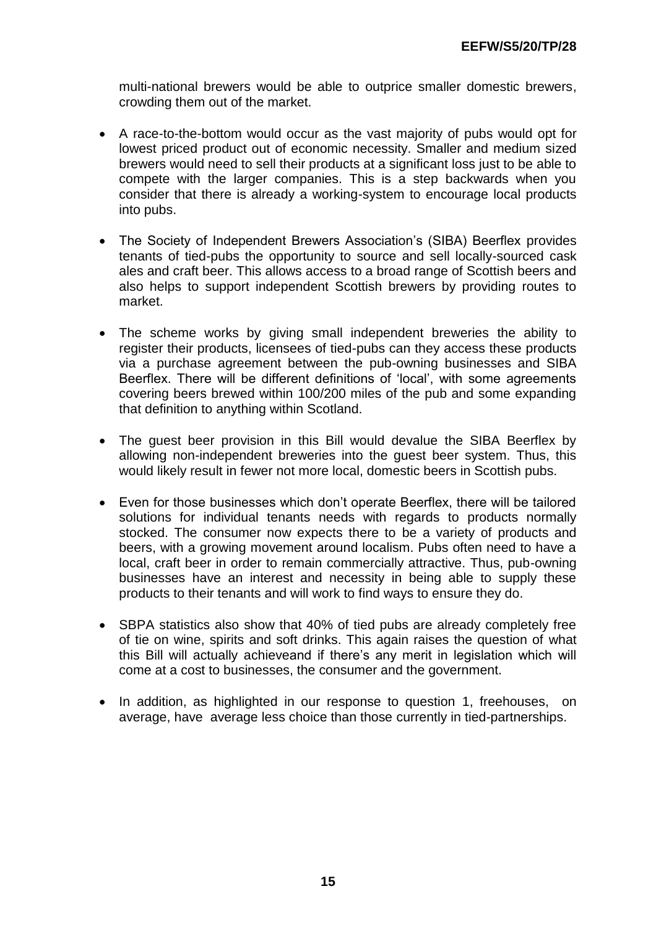multi-national brewers would be able to outprice smaller domestic brewers, crowding them out of the market.

- A race-to-the-bottom would occur as the vast majority of pubs would opt for lowest priced product out of economic necessity. Smaller and medium sized brewers would need to sell their products at a significant loss just to be able to compete with the larger companies. This is a step backwards when you consider that there is already a working-system to encourage local products into pubs.
- The Society of Independent Brewers Association's (SIBA) Beerflex provides tenants of tied-pubs the opportunity to source and sell locally-sourced cask ales and craft beer. This allows access to a broad range of Scottish beers and also helps to support independent Scottish brewers by providing routes to market.
- The scheme works by giving small independent breweries the ability to register their products, licensees of tied-pubs can they access these products via a purchase agreement between the pub-owning businesses and SIBA Beerflex. There will be different definitions of 'local', with some agreements covering beers brewed within 100/200 miles of the pub and some expanding that definition to anything within Scotland.
- The guest beer provision in this Bill would devalue the SIBA Beerflex by allowing non-independent breweries into the guest beer system. Thus, this would likely result in fewer not more local, domestic beers in Scottish pubs.
- Even for those businesses which don"t operate Beerflex, there will be tailored solutions for individual tenants needs with regards to products normally stocked. The consumer now expects there to be a variety of products and beers, with a growing movement around localism. Pubs often need to have a local, craft beer in order to remain commercially attractive. Thus, pub-owning businesses have an interest and necessity in being able to supply these products to their tenants and will work to find ways to ensure they do.
- SBPA statistics also show that 40% of tied pubs are already completely free of tie on wine, spirits and soft drinks. This again raises the question of what this Bill will actually achieveand if there"s any merit in legislation which will come at a cost to businesses, the consumer and the government.
- In addition, as highlighted in our response to question [1,](#page-0-0) freehouses, on average, have average less choice than those currently in tied-partnerships.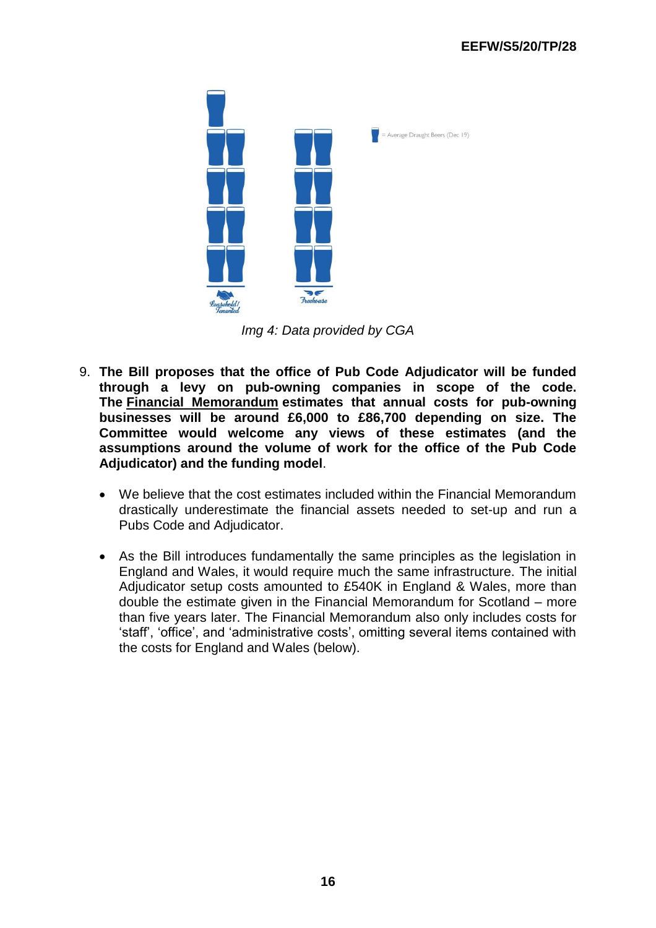

*Img 4: Data provided by CGA*

- 9. **The Bill proposes that the office of Pub Code Adjudicator will be funded through a levy on pub-owning companies in scope of the code. The [Financial Memorandum](https://www.parliament.scot/S5_Bills/Tied%20Pubs%20(Scotland)%20Bill/SPBill62FMS052020.pdf) estimates that annual costs for pub-owning businesses will be around £6,000 to £86,700 depending on size. The Committee would welcome any views of these estimates (and the assumptions around the volume of work for the office of the Pub Code Adjudicator) and the funding model**.
	- We believe that the cost estimates included within the Financial Memorandum drastically underestimate the financial assets needed to set-up and run a Pubs Code and Adjudicator.
	- As the Bill introduces fundamentally the same principles as the legislation in England and Wales, it would require much the same infrastructure. The initial Adjudicator setup costs amounted to £540K in England & Wales, more than double the estimate given in the Financial Memorandum for Scotland – more than five years later. The Financial Memorandum also only includes costs for "staff", "office", and "administrative costs", omitting several items contained with the costs for England and Wales (below).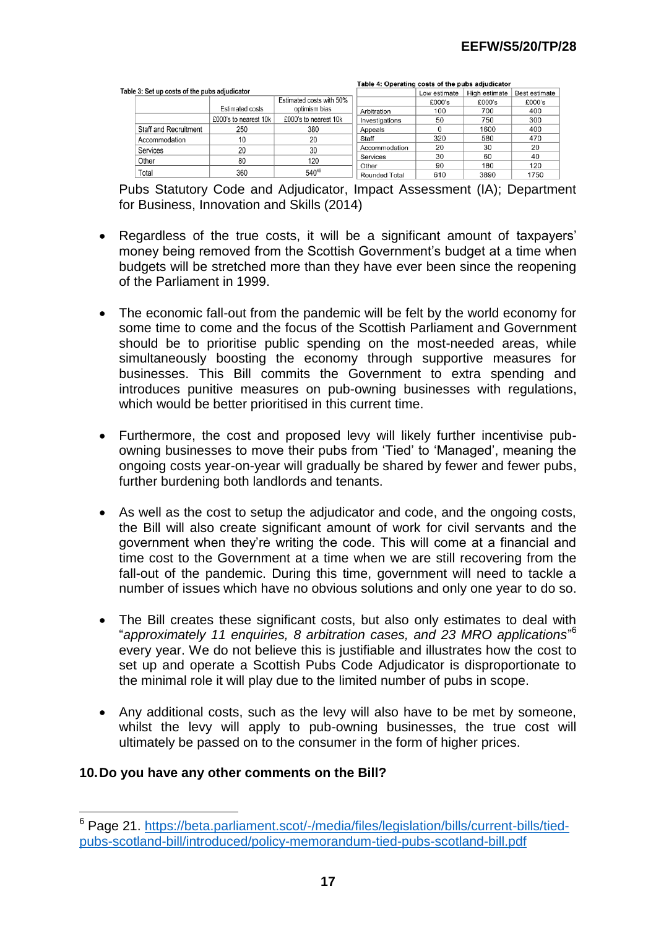Table 4: Operating costs of the pubs adjudicator

|  |                                               |                        |                          | rapic +. Operating costs or the paps agjudicator |               |        |        |
|--|-----------------------------------------------|------------------------|--------------------------|--------------------------------------------------|---------------|--------|--------|
|  | Table 3: Set up costs of the pubs adjudicator |                        | Low estimate             | High estimate                                    | Best estimate |        |        |
|  |                                               |                        | Estimated costs with 50% |                                                  | £000's        | £000's | £000's |
|  |                                               | <b>Estimated costs</b> | optimism bias            | Arbitration                                      | 100           | 700    | 400    |
|  |                                               | £000's to nearest 10k  | £000's to nearest 10k    | Investigations                                   | 50            | 750    | 300    |
|  | Staff and Recruitment                         | 250                    | 380                      | Appeals                                          |               | 1600   | 400    |
|  | Accommodation                                 | 10                     | 20                       | Staff                                            | 320           | 580    | 470    |
|  | Services                                      | 20                     | 30                       | Accommodation                                    | 20            | 30     | 20     |
|  | Other                                         | 80                     | 120                      | Services                                         | 30            | 60     | 40     |
|  |                                               |                        |                          | Other                                            | 90            | 180    | 120    |
|  | Total                                         | 360                    | 54046                    | Rounded Total                                    | 610           | 3890   | 1750   |
|  |                                               |                        |                          |                                                  |               |        |        |

Pubs Statutory Code and Adjudicator, Impact Assessment (IA); Department for Business, Innovation and Skills (2014)

- Regardless of the true costs, it will be a significant amount of taxpayers' money being removed from the Scottish Government's budget at a time when budgets will be stretched more than they have ever been since the reopening of the Parliament in 1999.
- The economic fall-out from the pandemic will be felt by the world economy for some time to come and the focus of the Scottish Parliament and Government should be to prioritise public spending on the most-needed areas, while simultaneously boosting the economy through supportive measures for businesses. This Bill commits the Government to extra spending and introduces punitive measures on pub-owning businesses with regulations, which would be better prioritised in this current time.
- Furthermore, the cost and proposed levy will likely further incentivise pubowning businesses to move their pubs from "Tied" to "Managed", meaning the ongoing costs year-on-year will gradually be shared by fewer and fewer pubs, further burdening both landlords and tenants.
- As well as the cost to setup the adjudicator and code, and the ongoing costs, the Bill will also create significant amount of work for civil servants and the government when they"re writing the code. This will come at a financial and time cost to the Government at a time when we are still recovering from the fall-out of the pandemic. During this time, government will need to tackle a number of issues which have no obvious solutions and only one year to do so.
- The Bill creates these significant costs, but also only estimates to deal with "*approximately 11 enquiries, 8 arbitration cases, and 23 MRO applications*" 6 every year. We do not believe this is justifiable and illustrates how the cost to set up and operate a Scottish Pubs Code Adjudicator is disproportionate to the minimal role it will play due to the limited number of pubs in scope.
- Any additional costs, such as the levy will also have to be met by someone, whilst the levy will apply to pub-owning businesses, the true cost will ultimately be passed on to the consumer in the form of higher prices.

# **10.Do you have any other comments on the Bill?**

 $\overline{\phantom{a}}$ 

<sup>&</sup>lt;sup>6</sup> Page 21. [https://beta.parliament.scot/-/media/files/legislation/bills/current-bills/tied](https://beta.parliament.scot/-/media/files/legislation/bills/current-bills/tied-pubs-scotland-bill/introduced/policy-memorandum-tied-pubs-scotland-bill.pdf)[pubs-scotland-bill/introduced/policy-memorandum-tied-pubs-scotland-bill.pdf](https://beta.parliament.scot/-/media/files/legislation/bills/current-bills/tied-pubs-scotland-bill/introduced/policy-memorandum-tied-pubs-scotland-bill.pdf)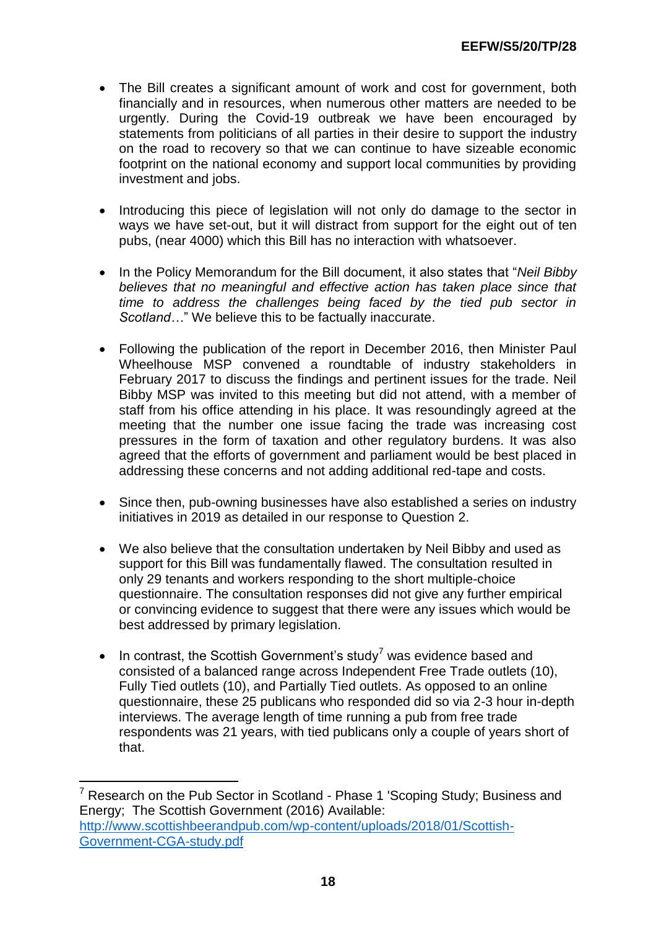- The Bill creates a significant amount of work and cost for government, both financially and in resources, when numerous other matters are needed to be urgently. During the Covid-19 outbreak we have been encouraged by statements from politicians of all parties in their desire to support the industry on the road to recovery so that we can continue to have sizeable economic footprint on the national economy and support local communities by providing investment and jobs.
- Introducing this piece of legislation will not only do damage to the sector in ways we have set-out, but it will distract from support for the eight out of ten pubs, (near 4000) which this Bill has no interaction with whatsoever.
- In the Policy Memorandum for the Bill document, it also states that "*Neil Bibby believes that no meaningful and effective action has taken place since that time to address the challenges being faced by the tied pub sector in Scotland…*" We believe this to be factually inaccurate.
- Following the publication of the report in December 2016, then Minister Paul Wheelhouse MSP convened a roundtable of industry stakeholders in February 2017 to discuss the findings and pertinent issues for the trade. Neil Bibby MSP was invited to this meeting but did not attend, with a member of staff from his office attending in his place. It was resoundingly agreed at the meeting that the number one issue facing the trade was increasing cost pressures in the form of taxation and other regulatory burdens. It was also agreed that the efforts of government and parliament would be best placed in addressing these concerns and not adding additional red-tape and costs.
- Since then, pub-owning businesses have also established a series on industry initiatives in 2019 as detailed in our response to Question [2.](#page-3-0)
- We also believe that the consultation undertaken by Neil Bibby and used as support for this Bill was fundamentally flawed. The consultation resulted in only 29 tenants and workers responding to the short multiple-choice questionnaire. The consultation responses did not give any further empirical or convincing evidence to suggest that there were any issues which would be best addressed by primary legislation.
- In contrast, the Scottish Government's study<sup>7</sup> was evidence based and consisted of a balanced range across Independent Free Trade outlets (10), Fully Tied outlets (10), and Partially Tied outlets. As opposed to an online questionnaire, these 25 publicans who responded did so via 2-3 hour in-depth interviews. The average length of time running a pub from free trade respondents was 21 years, with tied publicans only a couple of years short of that.

 $\overline{a}$ 

 $7$  Research on the Pub Sector in Scotland - Phase 1 'Scoping Study; Business and Energy; The Scottish Government (2016) Available: [http://www.scottishbeerandpub.com/wp-content/uploads/2018/01/Scottish-](http://www.scottishbeerandpub.com/wp-content/uploads/2018/01/Scottish-Government-CGA-study.pdf)[Government-CGA-study.pdf](http://www.scottishbeerandpub.com/wp-content/uploads/2018/01/Scottish-Government-CGA-study.pdf)